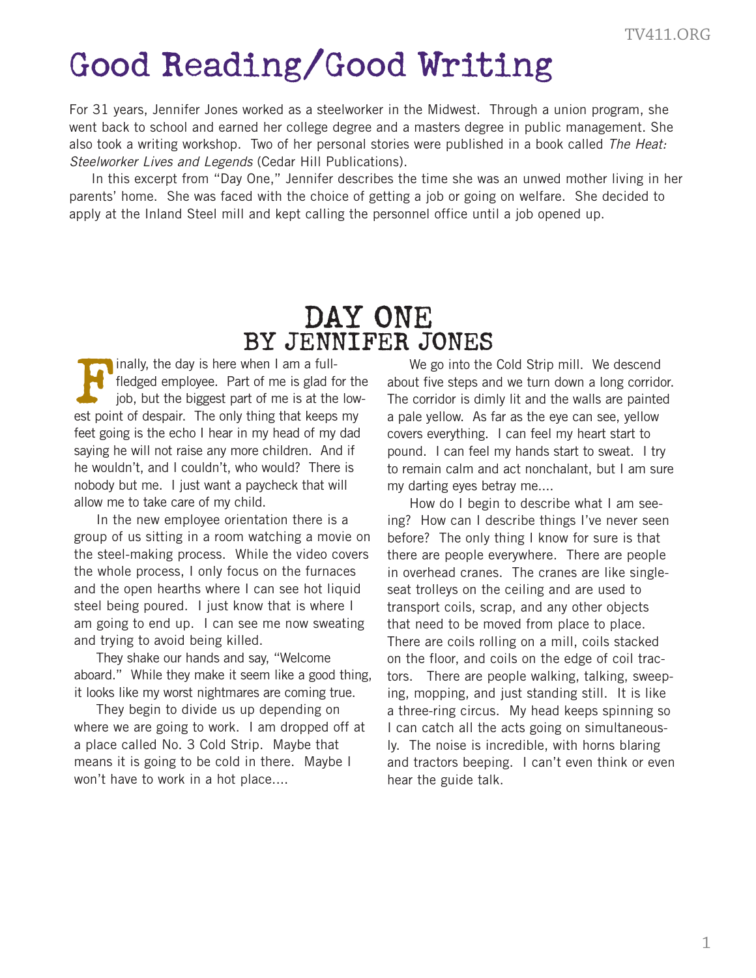## Good Reading/Good Writing

For 31 years, Jennifer Jones worked as a steelworker in the Midwest. Through a union program, she went back to school and earned her college degree and a masters degree in public management. She also took a writing workshop. Two of her personal stories were published in a book called *The Heat: Steelworker Lives and Legends* (Cedar Hill Publications).

In this excerpt from "Day One," Jennifer describes the time she was an unwed mother living in her parents' home. She was faced with the choice of getting a job or going on welfare. She decided to apply at the Inland Steel mill and kept calling the personnel office until a job opened up.

## DAY ONE BY JENNIFER JONES

FINT U CHAT<br>fledged employee. Part of me is glad for<br>job, but the biggest part of me is at the<br>est point of despair. The only thing that keeps fledged employee. Part of me is glad for the job, but the biggest part of me is at the lowest point of despair. The only thing that keeps my feet going is the echo I hear in my head of my dad saying he will not raise any more children. And if he wouldn't, and I couldn't, who would? There is nobody but me. I just want a paycheck that will allow me to take care of my child.

In the new employee orientation there is a group of us sitting in a room watching a movie on the steel-making process. While the video covers the whole process, I only focus on the furnaces and the open hearths where I can see hot liquid steel being poured. I just know that is where I am going to end up. I can see me now sweating and trying to avoid being killed.

They shake our hands and say, "Welcome aboard." While they make it seem like a good thing, it looks like my worst nightmares are coming true.

They begin to divide us up depending on where we are going to work. I am dropped off at a place called No. 3 Cold Strip. Maybe that means it is going to be cold in there. Maybe I won't have to work in a hot place....

We go into the Cold Strip mill. We descend about five steps and we turn down a long corridor. The corridor is dimly lit and the walls are painted a pale yellow. As far as the eye can see, yellow covers everything. I can feel my heart start to pound. I can feel my hands start to sweat. I try to remain calm and act nonchalant, but I am sure my darting eyes betray me....

How do I begin to describe what I am seeing? How can I describe things I've never seen before? The only thing I know for sure is that there are people everywhere. There are people in overhead cranes. The cranes are like singleseat trolleys on the ceiling and are used to transport coils, scrap, and any other objects that need to be moved from place to place. There are coils rolling on a mill, coils stacked on the floor, and coils on the edge of coil tractors. There are people walking, talking, sweeping, mopping, and just standing still. It is like a three-ring circus. My head keeps spinning so I can catch all the acts going on simultaneously. The noise is incredible, with horns blaring and tractors beeping. I can't even think or even hear the guide talk. TV411.ORG<br>am, she<br>ent. She<br>e*Heat:*<br>ing in her<br>ided to<br>sided to<br>painted vellow<br>art to<br>t. I try am sure<br>wer seen<br>is that<br>people<br>single-<br>to<br>ects<br>ace.<br>acked<br>il trac-, sweep-<br>is like<br>ingle-<br>is like<br>ingle-<br>is like<br>ingle-<br>is lik